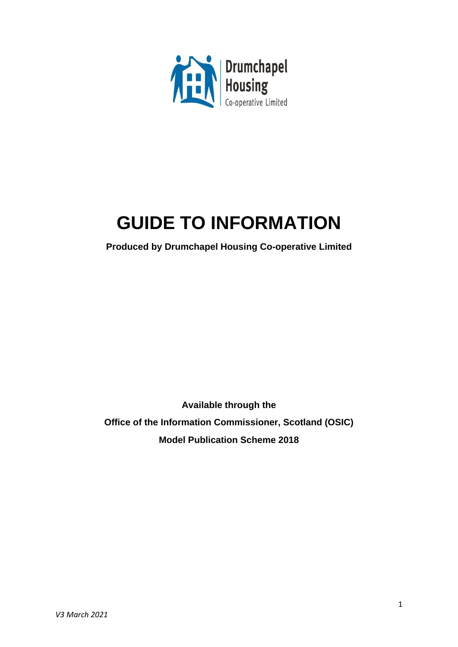

# **GUIDE TO INFORMATION**

**Produced by Drumchapel Housing Co-operative Limited**

**Available through the Office of the Information Commissioner, Scotland (OSIC) Model Publication Scheme 2018**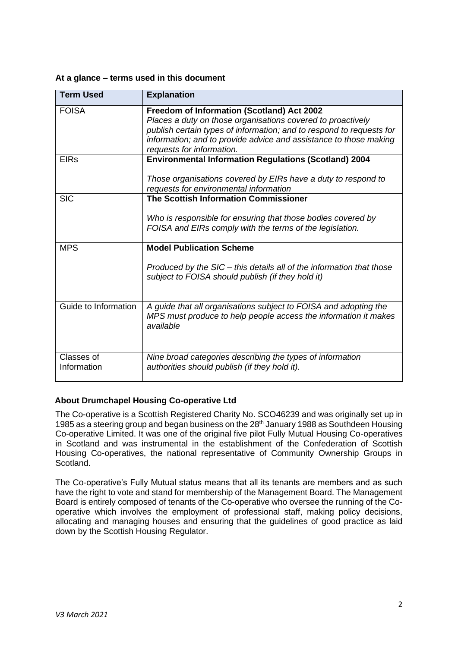### **At a glance – terms used in this document**

| <b>Term Used</b>          | <b>Explanation</b>                                                                                                                                                                                                                                                                  |
|---------------------------|-------------------------------------------------------------------------------------------------------------------------------------------------------------------------------------------------------------------------------------------------------------------------------------|
| <b>FOISA</b>              | Freedom of Information (Scotland) Act 2002<br>Places a duty on those organisations covered to proactively<br>publish certain types of information; and to respond to requests for<br>information; and to provide advice and assistance to those making<br>requests for information. |
| <b>EIRs</b>               | <b>Environmental Information Regulations (Scotland) 2004</b><br>Those organisations covered by EIRs have a duty to respond to<br>requests for environmental information                                                                                                             |
| <b>SIC</b>                | The Scottish Information Commissioner<br>Who is responsible for ensuring that those bodies covered by<br>FOISA and EIRs comply with the terms of the legislation.                                                                                                                   |
| <b>MPS</b>                | <b>Model Publication Scheme</b><br>Produced by the SIC – this details all of the information that those<br>subject to FOISA should publish (if they hold it)                                                                                                                        |
| Guide to Information      | A guide that all organisations subject to FOISA and adopting the<br>MPS must produce to help people access the information it makes<br>available                                                                                                                                    |
| Classes of<br>Information | Nine broad categories describing the types of information<br>authorities should publish (if they hold it).                                                                                                                                                                          |

# **About Drumchapel Housing Co-operative Ltd**

The Co-operative is a Scottish Registered Charity No. SCO46239 and was originally set up in 1985 as a steering group and began business on the 28<sup>th</sup> January 1988 as Southdeen Housing Co-operative Limited. It was one of the original five pilot Fully Mutual Housing Co-operatives in Scotland and was instrumental in the establishment of the Confederation of Scottish Housing Co-operatives, the national representative of Community Ownership Groups in Scotland.

The Co-operative's Fully Mutual status means that all its tenants are members and as such have the right to vote and stand for membership of the Management Board. The Management Board is entirely composed of tenants of the Co-operative who oversee the running of the Cooperative which involves the employment of professional staff, making policy decisions, allocating and managing houses and ensuring that the guidelines of good practice as laid down by the Scottish Housing Regulator.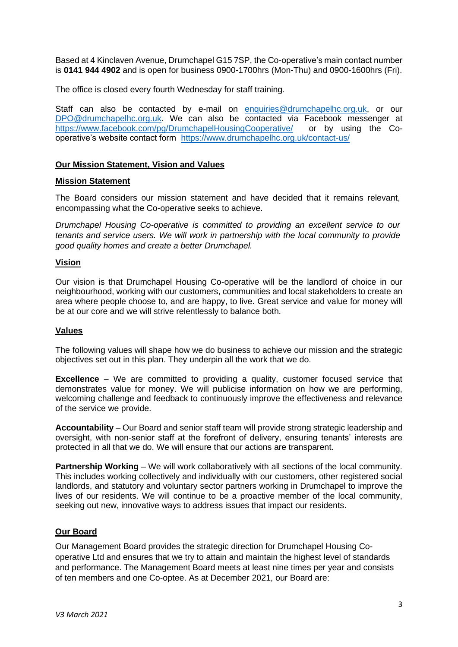Based at 4 Kinclaven Avenue, Drumchapel G15 7SP, the Co-operative's main contact number is **0141 944 4902** and is open for business 0900-1700hrs (Mon-Thu) and 0900-1600hrs (Fri).

The office is closed every fourth Wednesday for staff training.

Staff can also be contacted by e-mail on [enquiries@drumchapelhc.org.uk,](mailto:enquiries@drumchapelhc.org.uk) or our [DPO@drumchapelhc.org.uk.](mailto:DPO@drumchapelhc.org.uk) We can also be contacted via Facebook messenger at [https://www.facebook.com/pg/DrumchapelHousingCooperative/](https://www.facebook.com/pg/DrumchapelHousingCooperative/posts/) or by using the Cooperative's website contact form <https://www.drumchapelhc.org.uk/contact-us/>

#### **Our Mission Statement, Vision and Values**

#### **Mission Statement**

The Board considers our mission statement and have decided that it remains relevant, encompassing what the Co-operative seeks to achieve.

*Drumchapel Housing Co-operative is committed to providing an excellent service to our tenants and service users. We will work in partnership with the local community to provide good quality homes and create a better Drumchapel.* 

#### **Vision**

Our vision is that Drumchapel Housing Co-operative will be the landlord of choice in our neighbourhood, working with our customers, communities and local stakeholders to create an area where people choose to, and are happy, to live. Great service and value for money will be at our core and we will strive relentlessly to balance both.

#### **Values**

The following values will shape how we do business to achieve our mission and the strategic objectives set out in this plan. They underpin all the work that we do.

**Excellence** – We are committed to providing a quality, customer focused service that demonstrates value for money. We will publicise information on how we are performing, welcoming challenge and feedback to continuously improve the effectiveness and relevance of the service we provide.

**Accountability** – Our Board and senior staff team will provide strong strategic leadership and oversight, with non-senior staff at the forefront of delivery, ensuring tenants' interests are protected in all that we do. We will ensure that our actions are transparent.

**Partnership Working** – We will work collaboratively with all sections of the local community. This includes working collectively and individually with our customers, other registered social landlords, and statutory and voluntary sector partners working in Drumchapel to improve the lives of our residents. We will continue to be a proactive member of the local community, seeking out new, innovative ways to address issues that impact our residents.

# **Our Board**

Our Management Board provides the strategic direction for Drumchapel Housing Cooperative Ltd and ensures that we try to attain and maintain the highest level of standards and performance. The Management Board meets at least nine times per year and consists of ten members and one Co-optee. As at December 2021, our Board are: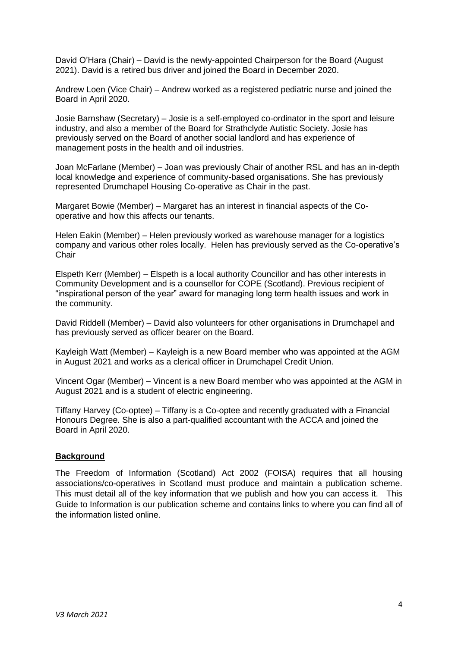David O'Hara (Chair) – David is the newly-appointed Chairperson for the Board (August 2021). David is a retired bus driver and joined the Board in December 2020.

Andrew Loen (Vice Chair) – Andrew worked as a registered pediatric nurse and joined the Board in April 2020.

Josie Barnshaw (Secretary) – Josie is a self-employed co-ordinator in the sport and leisure industry, and also a member of the Board for Strathclyde Autistic Society. Josie has previously served on the Board of another social landlord and has experience of management posts in the health and oil industries.

Joan McFarlane (Member) – Joan was previously Chair of another RSL and has an in-depth local knowledge and experience of community-based organisations. She has previously represented Drumchapel Housing Co-operative as Chair in the past.

Margaret Bowie (Member) – Margaret has an interest in financial aspects of the Cooperative and how this affects our tenants.

Helen Eakin (Member) – Helen previously worked as warehouse manager for a logistics company and various other roles locally. Helen has previously served as the Co-operative's **Chair** 

Elspeth Kerr (Member) – Elspeth is a local authority Councillor and has other interests in Community Development and is a counsellor for COPE (Scotland). Previous recipient of "inspirational person of the year" award for managing long term health issues and work in the community.

David Riddell (Member) – David also volunteers for other organisations in Drumchapel and has previously served as officer bearer on the Board.

Kayleigh Watt (Member) – Kayleigh is a new Board member who was appointed at the AGM in August 2021 and works as a clerical officer in Drumchapel Credit Union.

Vincent Ogar (Member) – Vincent is a new Board member who was appointed at the AGM in August 2021 and is a student of electric engineering.

Tiffany Harvey (Co-optee) – Tiffany is a Co-optee and recently graduated with a Financial Honours Degree. She is also a part-qualified accountant with the ACCA and joined the Board in April 2020.

#### **Background**

The Freedom of Information (Scotland) Act 2002 (FOISA) requires that all housing associations/co-operatives in Scotland must produce and maintain a publication scheme. This must detail all of the key information that we publish and how you can access it. This Guide to Information is our publication scheme and contains links to where you can find all of the information listed online.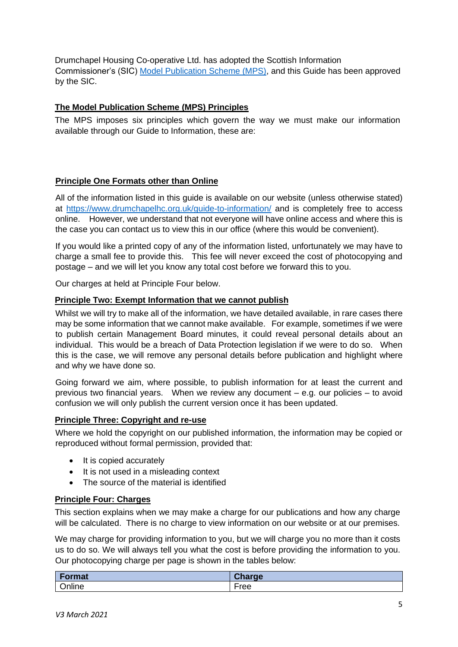Drumchapel Housing Co-operative Ltd. has adopted the Scottish Information Commissioner's (SIC) [Model Publication Scheme](http://www.itspublicknowledge.info/ScottishPublicAuthorities/PublicationSchemes/TheModelPublicationScheme.aspx) (MPS), and this Guide has been approved by the SIC.

# **The Model Publication Scheme (MPS) Principles**

The MPS imposes six principles which govern the way we must make our information available through our Guide to Information, these are:

# **Principle One Formats other than Online**

All of the information listed in this guide is available on our website (unless otherwise stated) at<https://www.drumchapelhc.org.uk/guide-to-information/> and is completely free to access online. However, we understand that not everyone will have online access and where this is the case you can contact us to view this in our office (where this would be convenient).

If you would like a printed copy of any of the information listed, unfortunately we may have to charge a small fee to provide this. This fee will never exceed the cost of photocopying and postage – and we will let you know any total cost before we forward this to you.

Our charges at held at Principle Four below.

# **Principle Two: Exempt Information that we cannot publish**

Whilst we will try to make all of the information, we have detailed available, in rare cases there may be some information that we cannot make available. For example, sometimes if we were to publish certain Management Board minutes, it could reveal personal details about an individual. This would be a breach of Data Protection legislation if we were to do so. When this is the case, we will remove any personal details before publication and highlight where and why we have done so.

Going forward we aim, where possible, to publish information for at least the current and previous two financial years. When we review any document – e.g. our policies – to avoid confusion we will only publish the current version once it has been updated.

# **Principle Three: Copyright and re-use**

Where we hold the copyright on our published information, the information may be copied or reproduced without formal permission, provided that:

- It is copied accurately
- It is not used in a misleading context
- The source of the material is identified

#### **Principle Four: Charges**

This section explains when we may make a charge for our publications and how any charge will be calculated. There is no charge to view information on our website or at our premises.

We may charge for providing information to you, but we will charge you no more than it costs us to do so. We will always tell you what the cost is before providing the information to you. Our photocopying charge per page is shown in the tables below:

| <b>Format</b> | ОΙ.<br>$\mathsf{charge}$ |
|---------------|--------------------------|
| Online        | ree                      |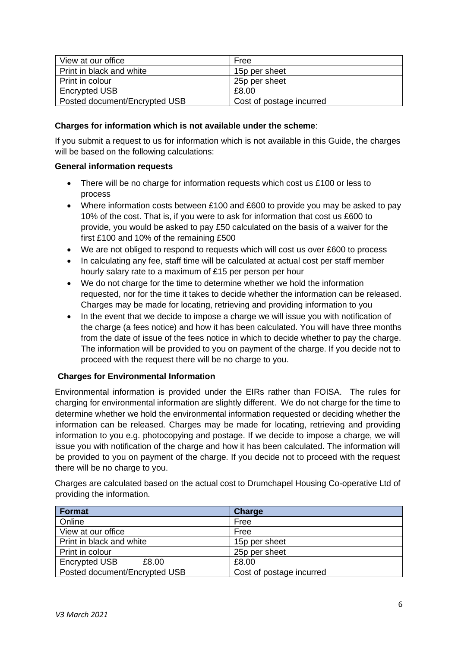| View at our office            | Free                     |
|-------------------------------|--------------------------|
| Print in black and white      | 15p per sheet            |
| Print in colour               | 25p per sheet            |
| <b>Encrypted USB</b>          | £8.00                    |
| Posted document/Encrypted USB | Cost of postage incurred |

# **Charges for information which is not available under the scheme**:

If you submit a request to us for information which is not available in this Guide, the charges will be based on the following calculations:

# **General information requests**

- There will be no charge for information requests which cost us £100 or less to process
- Where information costs between £100 and £600 to provide you may be asked to pay 10% of the cost. That is, if you were to ask for information that cost us £600 to provide, you would be asked to pay £50 calculated on the basis of a waiver for the first £100 and 10% of the remaining £500
- We are not obliged to respond to requests which will cost us over £600 to process
- In calculating any fee, staff time will be calculated at actual cost per staff member hourly salary rate to a maximum of £15 per person per hour
- We do not charge for the time to determine whether we hold the information requested, nor for the time it takes to decide whether the information can be released. Charges may be made for locating, retrieving and providing information to you
- In the event that we decide to impose a charge we will issue you with notification of the charge (a fees notice) and how it has been calculated. You will have three months from the date of issue of the fees notice in which to decide whether to pay the charge. The information will be provided to you on payment of the charge. If you decide not to proceed with the request there will be no charge to you.

# **Charges for Environmental Information**

Environmental information is provided under the EIRs rather than FOISA. The rules for charging for environmental information are slightly different. We do not charge for the time to determine whether we hold the environmental information requested or deciding whether the information can be released. Charges may be made for locating, retrieving and providing information to you e.g. photocopying and postage. If we decide to impose a charge, we will issue you with notification of the charge and how it has been calculated. The information will be provided to you on payment of the charge. If you decide not to proceed with the request there will be no charge to you.

Charges are calculated based on the actual cost to Drumchapel Housing Co-operative Ltd of providing the information.

| Format                        | Charge                   |
|-------------------------------|--------------------------|
| Online                        | Free                     |
| View at our office            | Free                     |
| Print in black and white      | 15p per sheet            |
| Print in colour               | 25p per sheet            |
| <b>Encrypted USB</b><br>£8.00 | £8.00                    |
| Posted document/Encrypted USB | Cost of postage incurred |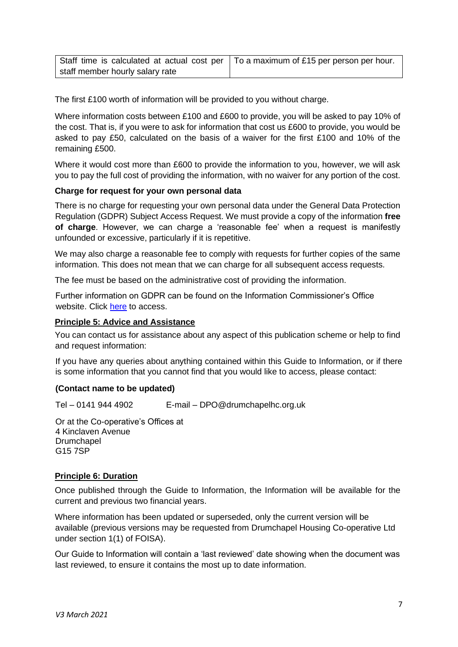| Staff time is calculated at actual cost per   To a maximum of £15 per person per hour. |  |
|----------------------------------------------------------------------------------------|--|
| staff member hourly salary rate                                                        |  |

The first £100 worth of information will be provided to you without charge.

Where information costs between £100 and £600 to provide, you will be asked to pay 10% of the cost. That is, if you were to ask for information that cost us £600 to provide, you would be asked to pay £50, calculated on the basis of a waiver for the first £100 and 10% of the remaining £500.

Where it would cost more than £600 to provide the information to you, however, we will ask you to pay the full cost of providing the information, with no waiver for any portion of the cost.

# **Charge for request for your own personal data**

There is no charge for requesting your own personal data under the General Data Protection Regulation (GDPR) Subject Access Request. We must provide a copy of the information **free of charge**. However, we can charge a 'reasonable fee' when a request is manifestly unfounded or excessive, particularly if it is repetitive.

We may also charge a reasonable fee to comply with requests for further copies of the same information. This does not mean that we can charge for all subsequent access requests.

The fee must be based on the administrative cost of providing the information.

Further information on GDPR can be found on the Information Commissioner's Office website. Click [here](https://ico.org.uk/for-organisations/guide-to-the-general-data-protection-regulation-gdpr/) [t](https://ico.org.uk/for-organisations/guide-to-the-general-data-protection-regulation-gdpr/)o access.

# **Principle 5: Advice and Assistance**

You can contact us for assistance about any aspect of this publication scheme or help to find and request information:

If you have any queries about anything contained within this Guide to Information, or if there is some information that you cannot find that you would like to access, please contact:

# **(Contact name to be updated)**

Tel – 0141 944 4902 E-mail – DPO@drumchapelhc.org.uk

Or at the Co-operative's Offices at 4 Kinclaven Avenue Drumchapel G15 7SP

# **Principle 6: Duration**

Once published through the Guide to Information, the Information will be available for the current and previous two financial years.

Where information has been updated or superseded, only the current version will be available (previous versions may be requested from Drumchapel Housing Co-operative Ltd under section 1(1) of FOISA).

Our Guide to Information will contain a 'last reviewed' date showing when the document was last reviewed, to ensure it contains the most up to date information.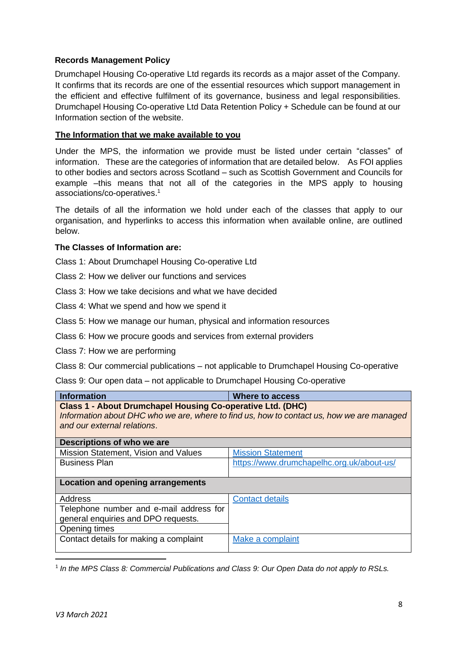# **Records Management Policy**

Drumchapel Housing Co-operative Ltd regards its records as a major asset of the Company. It confirms that its records are one of the essential resources which support management in the efficient and effective fulfilment of its governance, business and legal responsibilities. Drumchapel Housing Co-operative Ltd Data Retention Policy + Schedule can be found at our Information section of the website.

# **The Information that we make available to you**

Under the MPS, the information we provide must be listed under certain "classes" of information. These are the categories of information that are detailed below. As FOI applies to other bodies and sectors across Scotland – such as Scottish Government and Councils for example –this means that not all of the categories in the MPS apply to housing associations/co-operatives. 1

The details of all the information we hold under each of the classes that apply to our organisation, and hyperlinks to access this information when available online, are outlined below.

# **The Classes of Information are:**

Class 1: About Drumchapel Housing Co-operative Ltd

- Class 2: How we deliver our functions and services
- Class 3: How we take decisions and what we have decided
- Class 4: What we spend and how we spend it
- Class 5: How we manage our human, physical and information resources
- Class 6: How we procure goods and services from external providers
- Class 7: How we are performing
- Class 8: Our commercial publications not applicable to Drumchapel Housing Co-operative

Class 9: Our open data – not applicable to Drumchapel Housing Co-operative

| <b>Information</b>                                                                        | Where to access                           |  |
|-------------------------------------------------------------------------------------------|-------------------------------------------|--|
| <b>Class 1 - About Drumchapel Housing Co-operative Ltd. (DHC)</b>                         |                                           |  |
| Information about DHC who we are, where to find us, how to contact us, how we are managed |                                           |  |
| and our external relations.                                                               |                                           |  |
| Descriptions of who we are                                                                |                                           |  |
| Mission Statement, Vision and Values                                                      | <b>Mission Statement</b>                  |  |
| <b>Business Plan</b>                                                                      | https://www.drumchapelhc.org.uk/about-us/ |  |
|                                                                                           |                                           |  |
| Location and opening arrangements                                                         |                                           |  |
| Address                                                                                   | <b>Contact details</b>                    |  |
| Telephone number and e-mail address for                                                   |                                           |  |
| general enquiries and DPO requests.                                                       |                                           |  |
| Opening times                                                                             |                                           |  |
| Contact details for making a complaint                                                    | Make a complaint                          |  |
|                                                                                           |                                           |  |

<sup>1</sup> In the MPS Class 8: Commercial Publications and Class 9: Our Open Data do not apply to RSLs.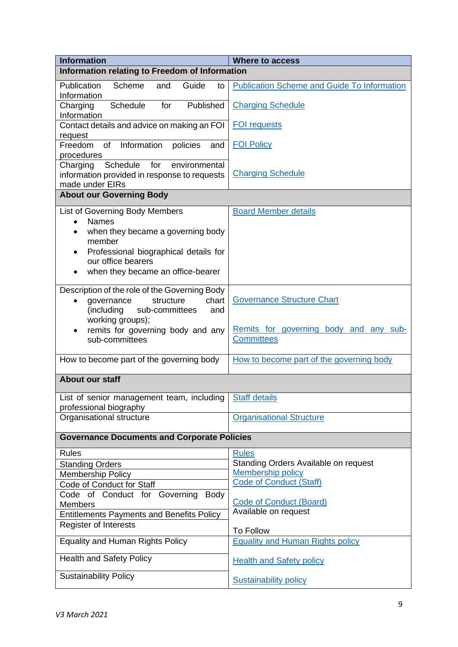| <b>Information</b>                                             | <b>Where to access</b>                                      |  |
|----------------------------------------------------------------|-------------------------------------------------------------|--|
| Information relating to Freedom of Information                 |                                                             |  |
| Publication<br>Scheme<br>and<br>Guide<br>to                    | <b>Publication Scheme and Guide To Information</b>          |  |
| Information                                                    |                                                             |  |
| Schedule<br>Published<br>Charging<br>for<br>Information        | <b>Charging Schedule</b>                                    |  |
| Contact details and advice on making an FOI                    | <b>FOI requests</b>                                         |  |
| request                                                        |                                                             |  |
| Information<br>of<br>policies<br>Freedom<br>and                | <b>FOI Policy</b>                                           |  |
| procedures<br>Schedule<br>for<br>environmental                 |                                                             |  |
| Charging<br>information provided in response to requests       | <b>Charging Schedule</b>                                    |  |
| made under EIRs                                                |                                                             |  |
| <b>About our Governing Body</b>                                |                                                             |  |
| List of Governing Body Members                                 | <b>Board Member details</b>                                 |  |
| <b>Names</b><br>$\bullet$                                      |                                                             |  |
| when they became a governing body<br>member                    |                                                             |  |
| Professional biographical details for                          |                                                             |  |
| our office bearers                                             |                                                             |  |
| when they became an office-bearer<br>$\bullet$                 |                                                             |  |
| Description of the role of the Governing Body                  |                                                             |  |
| chart<br>governance<br>structure<br>$\bullet$                  | <b>Governance Structure Chart</b>                           |  |
| (including<br>sub-committees<br>and                            |                                                             |  |
| working groups);                                               |                                                             |  |
| remits for governing body and any<br>sub-committees            | Remits for governing body and any sub-<br><b>Committees</b> |  |
|                                                                |                                                             |  |
| How to become part of the governing body                       | How to become part of the governing body                    |  |
| About our staff                                                |                                                             |  |
|                                                                |                                                             |  |
| List of senior management team, including   Staff details      |                                                             |  |
| professional biography<br>Organisational structure             | <b>Organisational Structure</b>                             |  |
|                                                                |                                                             |  |
| <b>Governance Documents and Corporate Policies</b>             |                                                             |  |
| <b>Rules</b>                                                   | <b>Rules</b>                                                |  |
| <b>Standing Orders</b>                                         | Standing Orders Available on request                        |  |
| Membership Policy                                              | <b>Membership policy</b><br><b>Code of Conduct (Staff)</b>  |  |
| Code of Conduct for Staff                                      |                                                             |  |
| Code of Conduct for Governing<br><b>Body</b><br><b>Members</b> | <b>Code of Conduct (Board)</b>                              |  |
| <b>Entitlements Payments and Benefits Policy</b>               | Available on request                                        |  |
| Register of Interests                                          |                                                             |  |
| <b>Equality and Human Rights Policy</b>                        | <b>To Follow</b><br><b>Equality and Human Rights policy</b> |  |
|                                                                |                                                             |  |
| <b>Health and Safety Policy</b>                                | <b>Health and Safety policy</b>                             |  |
| <b>Sustainability Policy</b>                                   |                                                             |  |
|                                                                | <b>Sustainability policy</b>                                |  |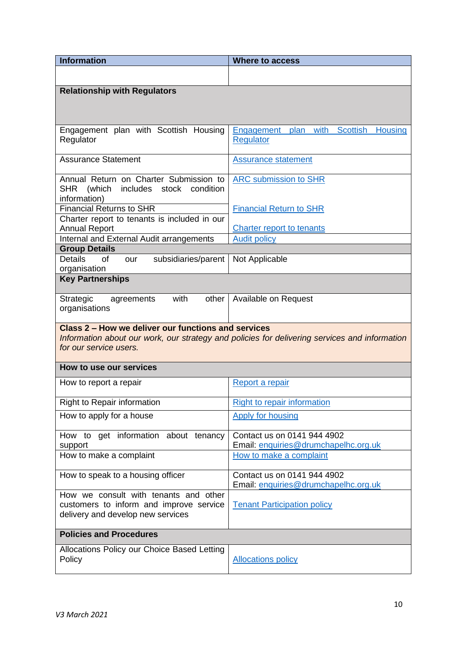| <b>Information</b>                                                        | <b>Where to access</b>                                                                        |  |
|---------------------------------------------------------------------------|-----------------------------------------------------------------------------------------------|--|
|                                                                           |                                                                                               |  |
| <b>Relationship with Regulators</b>                                       |                                                                                               |  |
|                                                                           |                                                                                               |  |
|                                                                           |                                                                                               |  |
| Engagement plan with Scottish Housing                                     | with<br><b>Scottish</b><br>plan<br><b>Housing</b><br>Engagement                               |  |
| Regulator                                                                 | <b>Regulator</b>                                                                              |  |
| <b>Assurance Statement</b>                                                |                                                                                               |  |
|                                                                           | <b>Assurance statement</b>                                                                    |  |
| Annual Return on Charter Submission to                                    | <b>ARC</b> submission to SHR                                                                  |  |
| <b>SHR</b><br>(which<br>includes stock<br>condition                       |                                                                                               |  |
| information)<br><b>Financial Returns to SHR</b>                           | <b>Financial Return to SHR</b>                                                                |  |
| Charter report to tenants is included in our                              |                                                                                               |  |
| <b>Annual Report</b>                                                      | <b>Charter report to tenants</b>                                                              |  |
| Internal and External Audit arrangements                                  | <b>Audit policy</b>                                                                           |  |
| <b>Group Details</b>                                                      |                                                                                               |  |
| <b>Details</b><br><b>of</b><br>subsidiaries/parent<br>our<br>organisation | Not Applicable                                                                                |  |
| <b>Key Partnerships</b>                                                   |                                                                                               |  |
|                                                                           |                                                                                               |  |
| with<br>other<br>Strategic<br>agreements                                  | Available on Request                                                                          |  |
| organisations                                                             |                                                                                               |  |
| Class 2 – How we deliver our functions and services                       |                                                                                               |  |
|                                                                           | Information about our work, our strategy and policies for delivering services and information |  |
| for our service users.                                                    |                                                                                               |  |
| How to use our services                                                   |                                                                                               |  |
| How to report a repair                                                    | Report a repair                                                                               |  |
|                                                                           |                                                                                               |  |
| <b>Right to Repair information</b>                                        | Right to repair information                                                                   |  |
| How to apply for a house                                                  | <b>Apply for housing</b>                                                                      |  |
| How to get information about tenancy                                      | Contact us on 0141 944 4902                                                                   |  |
| support                                                                   | Email: enquiries@drumchapelhc.org.uk                                                          |  |
| How to make a complaint                                                   | How to make a complaint                                                                       |  |
| How to speak to a housing officer                                         | Contact us on 0141 944 4902                                                                   |  |
|                                                                           | Email: enquiries@drumchapelhc.org.uk                                                          |  |
| How we consult with tenants and other                                     |                                                                                               |  |
| customers to inform and improve service                                   | <b>Tenant Participation policy</b>                                                            |  |
| delivery and develop new services                                         |                                                                                               |  |
| <b>Policies and Procedures</b>                                            |                                                                                               |  |
| Allocations Policy our Choice Based Letting                               |                                                                                               |  |
| Policy                                                                    | <b>Allocations policy</b>                                                                     |  |
|                                                                           |                                                                                               |  |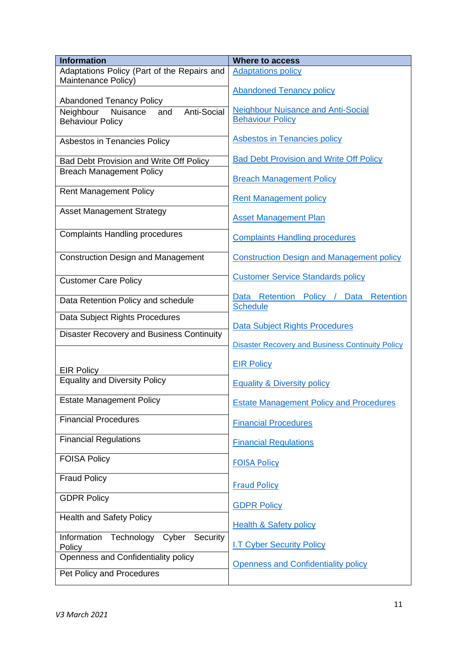| <b>Information</b>                                                         | <b>Where to access</b>                                  |
|----------------------------------------------------------------------------|---------------------------------------------------------|
| Adaptations Policy (Part of the Repairs and<br>Maintenance Policy)         | <b>Adaptations policy</b>                               |
|                                                                            | <b>Abandoned Tenancy policy</b>                         |
| <b>Abandoned Tenancy Policy</b>                                            |                                                         |
| Anti-Social<br>Neighbour<br>Nuisance<br>and                                | <b>Neighbour Nuisance and Anti-Social</b>               |
| <b>Behaviour Policy</b>                                                    | <b>Behaviour Policy</b>                                 |
| Asbestos in Tenancies Policy                                               | <b>Asbestos in Tenancies policy</b>                     |
|                                                                            | <b>Bad Debt Provision and Write Off Policy</b>          |
| Bad Debt Provision and Write Off Policy<br><b>Breach Management Policy</b> |                                                         |
|                                                                            | <b>Breach Management Policy</b>                         |
| <b>Rent Management Policy</b>                                              |                                                         |
|                                                                            | <b>Rent Management policy</b>                           |
| <b>Asset Management Strategy</b>                                           | <b>Asset Management Plan</b>                            |
|                                                                            |                                                         |
| <b>Complaints Handling procedures</b>                                      | <b>Complaints Handling procedures</b>                   |
|                                                                            |                                                         |
| <b>Construction Design and Management</b>                                  | <b>Construction Design and Management policy</b>        |
|                                                                            | <b>Customer Service Standards policy</b>                |
| <b>Customer Care Policy</b>                                                |                                                         |
| Data Retention Policy and schedule                                         | Data Retention Policy /<br>Data Retention               |
|                                                                            | <b>Schedule</b>                                         |
| Data Subject Rights Procedures                                             | Data Subject Rights Procedures                          |
| <b>Disaster Recovery and Business Continuity</b>                           |                                                         |
|                                                                            | <b>Disaster Recovery and Business Continuity Policy</b> |
|                                                                            | <b>EIR Policy</b>                                       |
| <b>EIR Policy</b>                                                          |                                                         |
| <b>Equality and Diversity Policy</b>                                       | <b>Equality &amp; Diversity policy</b>                  |
| <b>Estate Management Policy</b>                                            |                                                         |
|                                                                            | <b>Estate Management Policy and Procedures</b>          |
| <b>Financial Procedures</b>                                                | <b>Financial Procedures</b>                             |
|                                                                            |                                                         |
| <b>Financial Regulations</b>                                               | <b>Financial Regulations</b>                            |
| <b>FOISA Policy</b>                                                        |                                                         |
|                                                                            | <b>FOISA Policy</b>                                     |
| <b>Fraud Policy</b>                                                        | <b>Fraud Policy</b>                                     |
| <b>GDPR Policy</b>                                                         |                                                         |
|                                                                            | <b>GDPR Policy</b>                                      |
| <b>Health and Safety Policy</b>                                            |                                                         |
|                                                                            | <b>Health &amp; Safety policy</b>                       |
| Information<br>Technology<br>Cyber<br>Security                             | <b>I.T Cyber Security Policy</b>                        |
| Policy<br>Openness and Confidentiality policy                              |                                                         |
|                                                                            | <b>Openness and Confidentiality policy</b>              |
| Pet Policy and Procedures                                                  |                                                         |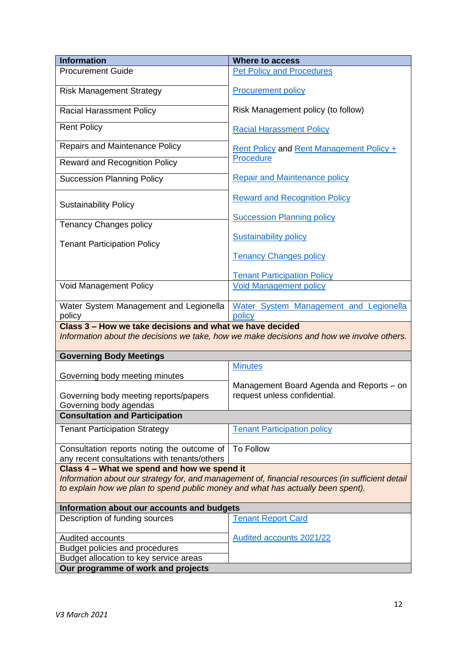| <b>Information</b>                                                                                                                                                                  | <b>Where to access</b>                                                   |  |
|-------------------------------------------------------------------------------------------------------------------------------------------------------------------------------------|--------------------------------------------------------------------------|--|
| <b>Procurement Guide</b>                                                                                                                                                            | <b>Pet Policy and Procedures</b>                                         |  |
| <b>Risk Management Strategy</b>                                                                                                                                                     | <b>Procurement policy</b>                                                |  |
| <b>Racial Harassment Policy</b>                                                                                                                                                     | Risk Management policy (to follow)                                       |  |
| <b>Rent Policy</b>                                                                                                                                                                  | <b>Racial Harassment Policy</b>                                          |  |
| <b>Repairs and Maintenance Policy</b>                                                                                                                                               | <b>Rent Policy and Rent Management Policy +</b>                          |  |
| <b>Reward and Recognition Policy</b>                                                                                                                                                | Procedure                                                                |  |
| <b>Succession Planning Policy</b>                                                                                                                                                   | <b>Repair and Maintenance policy</b>                                     |  |
| <b>Sustainability Policy</b>                                                                                                                                                        | <b>Reward and Recognition Policy</b>                                     |  |
| <b>Tenancy Changes policy</b>                                                                                                                                                       | <b>Succession Planning policy</b>                                        |  |
| <b>Tenant Participation Policy</b>                                                                                                                                                  | <b>Sustainability policy</b>                                             |  |
|                                                                                                                                                                                     | <b>Tenancy Changes policy</b>                                            |  |
|                                                                                                                                                                                     | <b>Tenant Participation Policy</b>                                       |  |
| <b>Void Management Policy</b>                                                                                                                                                       | <b>Void Management policy</b>                                            |  |
| Water System Management and Legionella                                                                                                                                              | Water System Management and Legionella                                   |  |
| policy<br>policy                                                                                                                                                                    |                                                                          |  |
| Class 3 - How we take decisions and what we have decided<br>Information about the decisions we take, how we make decisions and how we involve others.                               |                                                                          |  |
| <b>Governing Body Meetings</b>                                                                                                                                                      |                                                                          |  |
| Governing body meeting minutes                                                                                                                                                      | <b>Minutes</b>                                                           |  |
| Governing body meeting reports/papers<br>Governing body agendas                                                                                                                     | Management Board Agenda and Reports – on<br>request unless confidential. |  |
| <b>Consultation and Participation</b>                                                                                                                                               |                                                                          |  |
| <b>Tenant Participation Strategy</b>                                                                                                                                                | <b>Tenant Participation policy</b>                                       |  |
| Consultation reports noting the outcome of To Follow<br>any recent consultations with tenants/others                                                                                |                                                                          |  |
| Class 4 – What we spend and how we spend it                                                                                                                                         |                                                                          |  |
| Information about our strategy for, and management of, financial resources (in sufficient detail<br>to explain how we plan to spend public money and what has actually been spent). |                                                                          |  |
| Information about our accounts and budgets                                                                                                                                          |                                                                          |  |
| Description of funding sources                                                                                                                                                      | <b>Tenant Report Card</b>                                                |  |
| <b>Audited accounts</b>                                                                                                                                                             | <b>Audited accounts 2021/22</b>                                          |  |
| Budget policies and procedures                                                                                                                                                      |                                                                          |  |
| Budget allocation to key service areas                                                                                                                                              |                                                                          |  |
| Our programme of work and projects                                                                                                                                                  |                                                                          |  |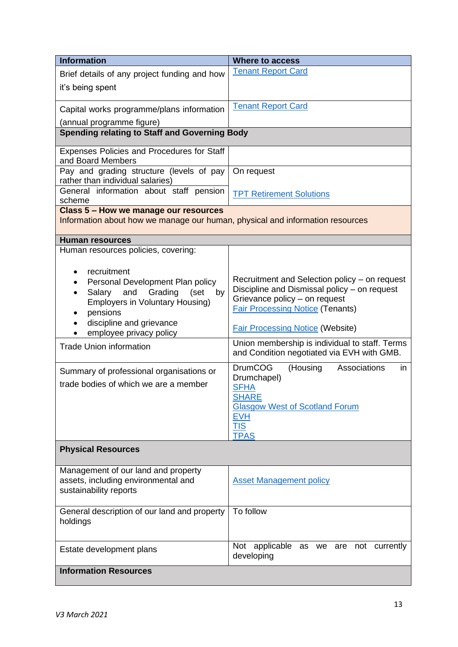| <b>Information</b>                                                            | <b>Where to access</b>                                                   |  |
|-------------------------------------------------------------------------------|--------------------------------------------------------------------------|--|
| Brief details of any project funding and how                                  | <b>Tenant Report Card</b>                                                |  |
| it's being spent                                                              |                                                                          |  |
|                                                                               |                                                                          |  |
| Capital works programme/plans information                                     | <b>Tenant Report Card</b>                                                |  |
| (annual programme figure)                                                     |                                                                          |  |
| <b>Spending relating to Staff and Governing Body</b>                          |                                                                          |  |
| <b>Expenses Policies and Procedures for Staff</b><br>and Board Members        |                                                                          |  |
| Pay and grading structure (levels of pay<br>rather than individual salaries)  | On request                                                               |  |
| General information about staff pension<br>scheme                             | <b>TPT Retirement Solutions</b>                                          |  |
| Class 5 - How we manage our resources                                         |                                                                          |  |
| Information about how we manage our human, physical and information resources |                                                                          |  |
| <b>Human resources</b>                                                        |                                                                          |  |
| Human resources policies, covering:                                           |                                                                          |  |
| recruitment                                                                   |                                                                          |  |
| Personal Development Plan policy                                              | Recruitment and Selection policy – on request                            |  |
| Salary<br>and<br>Grading<br>(set<br>by                                        | Discipline and Dismissal policy - on request                             |  |
| <b>Employers in Voluntary Housing)</b>                                        | Grievance policy - on request<br><b>Fair Processing Notice (Tenants)</b> |  |
| pensions<br>discipline and grievance                                          |                                                                          |  |
| employee privacy policy                                                       | <b>Fair Processing Notice (Website)</b>                                  |  |
| <b>Trade Union information</b>                                                | Union membership is individual to staff. Terms                           |  |
|                                                                               | and Condition negotiated via EVH with GMB.                               |  |
| Summary of professional organisations or                                      | <b>DrumCOG</b><br>Associations<br>(Housing<br>in                         |  |
| trade bodies of which we are a member                                         | Drumchapel)                                                              |  |
|                                                                               | <b>SFHA</b><br><b>SHARE</b>                                              |  |
|                                                                               | <b>Glasgow West of Scotland Forum</b>                                    |  |
|                                                                               | <u>EVH</u>                                                               |  |
|                                                                               | <b>TIS</b><br><b>TPAS</b>                                                |  |
| <b>Physical Resources</b>                                                     |                                                                          |  |
|                                                                               |                                                                          |  |
| Management of our land and property                                           |                                                                          |  |
| assets, including environmental and                                           | <b>Asset Management policy</b>                                           |  |
| sustainability reports                                                        |                                                                          |  |
| General description of our land and property                                  | To follow                                                                |  |
| holdings                                                                      |                                                                          |  |
|                                                                               |                                                                          |  |
| Estate development plans                                                      | Not applicable as we are not currently<br>developing                     |  |
| <b>Information Resources</b>                                                  |                                                                          |  |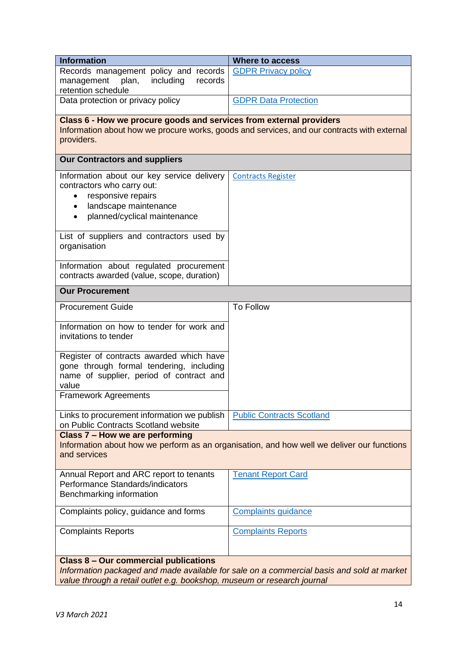| <b>Information</b>                                                                                                                                                                                                   | <b>Where to access</b>           |  |
|----------------------------------------------------------------------------------------------------------------------------------------------------------------------------------------------------------------------|----------------------------------|--|
| Records management policy and records<br>plan,<br>including<br>records<br>management                                                                                                                                 | <b>GDPR Privacy policy</b>       |  |
| retention schedule                                                                                                                                                                                                   |                                  |  |
| Data protection or privacy policy                                                                                                                                                                                    | <b>GDPR Data Protection</b>      |  |
|                                                                                                                                                                                                                      |                                  |  |
| Class 6 - How we procure goods and services from external providers<br>Information about how we procure works, goods and services, and our contracts with external<br>providers.                                     |                                  |  |
| <b>Our Contractors and suppliers</b>                                                                                                                                                                                 |                                  |  |
| Information about our key service delivery<br>contractors who carry out:<br>responsive repairs<br>landscape maintenance<br>planned/cyclical maintenance                                                              | <b>Contracts Register</b>        |  |
| List of suppliers and contractors used by<br>organisation                                                                                                                                                            |                                  |  |
| Information about regulated procurement<br>contracts awarded (value, scope, duration)                                                                                                                                |                                  |  |
| <b>Our Procurement</b>                                                                                                                                                                                               |                                  |  |
| <b>Procurement Guide</b>                                                                                                                                                                                             | <b>To Follow</b>                 |  |
| Information on how to tender for work and<br>invitations to tender                                                                                                                                                   |                                  |  |
| Register of contracts awarded which have<br>gone through formal tendering, including<br>name of supplier, period of contract and<br>value                                                                            |                                  |  |
| <b>Framework Agreements</b>                                                                                                                                                                                          |                                  |  |
| Links to procurement information we publish<br>on Public Contracts Scotland website                                                                                                                                  | <b>Public Contracts Scotland</b> |  |
| Class 7 - How we are performing<br>Information about how we perform as an organisation, and how well we deliver our functions<br>and services                                                                        |                                  |  |
| Annual Report and ARC report to tenants<br>Performance Standards/indicators<br>Benchmarking information                                                                                                              | <b>Tenant Report Card</b>        |  |
| Complaints policy, guidance and forms                                                                                                                                                                                | <b>Complaints guidance</b>       |  |
| <b>Complaints Reports</b>                                                                                                                                                                                            | <b>Complaints Reports</b>        |  |
| <b>Class 8 - Our commercial publications</b><br>Information packaged and made available for sale on a commercial basis and sold at market<br>value through a retail outlet e.g. bookshop, museum or research journal |                                  |  |